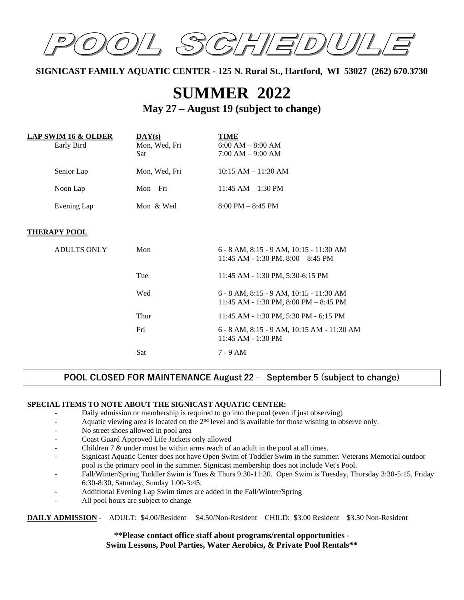

**SIGNICAST FAMILY AQUATIC CENTER - 125 N. Rural St., Hartford, WI 53027 (262) 670.3730**

# **SUMMER 2022**

**May 27 – August 19 (subject to change)**

| <b>LAP SWIM 16 &amp; OLDER</b><br>Early Bird | $\bf{DAY}(s)$<br>Mon, Wed, Fri<br><b>Sat</b> | TIME<br>$6:00 AM - 8:00 AM$<br>$7:00 AM - 9:00 AM$ |
|----------------------------------------------|----------------------------------------------|----------------------------------------------------|
| Senior Lap                                   | Mon, Wed, Fri                                | $10:15$ AM $- 11:30$ AM                            |
| Noon Lap                                     | $Mon-Fri$                                    | $11:45$ AM $- 1:30$ PM                             |
| Evening Lap                                  | Mon & Wed                                    | $8:00 \text{ PM} - 8:45 \text{ PM}$                |

#### **THERAPY POOL**

| <b>ADULTS ONLY</b> | Mon  | $6 - 8$ AM, $8:15 - 9$ AM, $10:15 - 11:30$ AM<br>11:45 AM - 1:30 PM, $8:00 - 8:45$ PM  |
|--------------------|------|----------------------------------------------------------------------------------------|
|                    | Tue  | 11:45 AM - 1:30 PM, 5:30-6:15 PM                                                       |
|                    | Wed  | $6 - 8$ AM, $8:15 - 9$ AM, $10:15 - 11:30$ AM<br>11:45 AM - 1:30 PM, 8:00 PM - 8:45 PM |
|                    | Thur | 11:45 AM - 1:30 PM, 5:30 PM - 6:15 PM                                                  |
|                    | Fri  | $6 - 8$ AM, $8:15 - 9$ AM, $10:15$ AM $- 11:30$ AM<br>$11:45$ AM - 1:30 PM             |
|                    | Sat  | 7 - 9 AM                                                                               |

### **POOL CLOSED FOR MAINTENANCE August 22 – September 5 (subject to change)**

#### **SPECIAL ITEMS TO NOTE ABOUT THE SIGNICAST AQUATIC CENTER:**

- Daily admission or membership is required to go into the pool (even if just observing)
- Aquatic viewing area is located on the  $2<sup>nd</sup>$  level and is available for those wishing to observe only.
- No street shoes allowed in pool area
- Coast Guard Approved Life Jackets only allowed
- Children  $7 \&$  under must be within arms reach of an adult in the pool at all times.
- Signicast Aquatic Center does not have Open Swim of Toddler Swim in the summer. Veterans Memorial outdoor pool is the primary pool in the summer. Signicast membership does not include Vet's Pool.
- Fall/Winter/Spring Toddler Swim is Tues & Thurs 9:30-11:30. Open Swim is Tuesday, Thursday 3:30-5:15, Friday 6:30-8:30, Saturday, Sunday 1:00-3:45.
- Additional Evening Lap Swim times are added in the Fall/Winter/Spring
- All pool hours are subject to change

**DAILY ADMISSION** - ADULT: \$4.00/Resident \$4.50/Non-Resident CHILD: \$3.00 Resident \$3.50 Non-Resident

#### **\*\*Please contact office staff about programs/rental opportunities - Swim Lessons, Pool Parties, Water Aerobics, & Private Pool Rentals\*\***